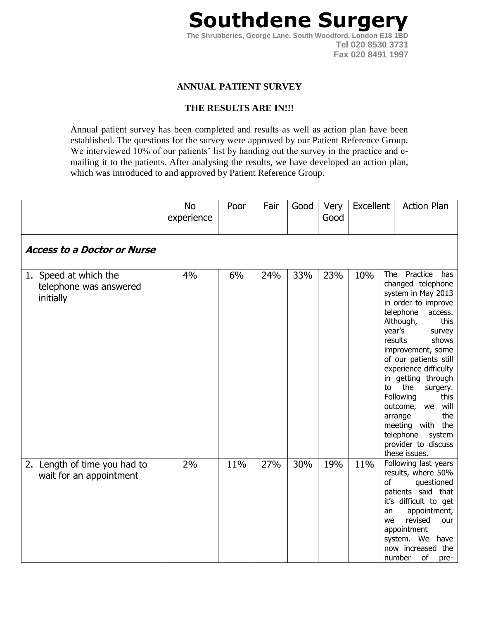# **Southdene Surgery**

**The Shrubberies, George Lane, South Woodford, London E18 1BD Tel 020 8530 3731 Fax 020 8491 1997**

#### **ANNUAL PATIENT SURVEY**

#### **THE RESULTS ARE IN!!!**

Annual patient survey has been completed and results as well as action plan have been established. The questions for the survey were approved by our Patient Reference Group. We interviewed 10% of our patients' list by handing out the survey in the practice and emailing it to the patients. After analysing the results, we have developed an action plan, which was introduced to and approved by Patient Reference Group.

|                                                              | <b>No</b><br>experience | Poor | Fair | Good | Very<br>Good | Excellent | <b>Action Plan</b>                                                                                                                                                                                                                                                                                                                                                                                                                                      |
|--------------------------------------------------------------|-------------------------|------|------|------|--------------|-----------|---------------------------------------------------------------------------------------------------------------------------------------------------------------------------------------------------------------------------------------------------------------------------------------------------------------------------------------------------------------------------------------------------------------------------------------------------------|
| <b>Access to a Doctor or Nurse</b>                           |                         |      |      |      |              |           |                                                                                                                                                                                                                                                                                                                                                                                                                                                         |
| 1. Speed at which the<br>telephone was answered<br>initially | 4%                      | 6%   | 24%  | 33%  | 23%          | 10%       | Practice<br>The<br>has<br>changed telephone<br>system in May 2013<br>in order to improve<br>telephone<br>access.<br>Although,<br>this<br>year's<br>survey<br>results<br>shows<br>improvement, some<br>of our patients still<br>experience difficulty<br>in getting through<br>to<br>the<br>surgery.<br>Following<br>this<br>will<br>outcome,<br>we<br>the<br>arrange<br>meeting with the<br>telephone<br>system<br>provider to discuss<br>these issues. |
| 2. Length of time you had to<br>wait for an appointment      | 2%                      | 11%  | 27%  | 30%  | 19%          | 11%       | Following last years<br>results, where 50%<br>of<br>questioned<br>patients said that<br>it's difficult to get<br>appointment,<br>an<br>revised<br>we<br>our<br>appointment<br>system. We<br>have<br>now increased<br>the<br>number<br>of<br>pre-                                                                                                                                                                                                        |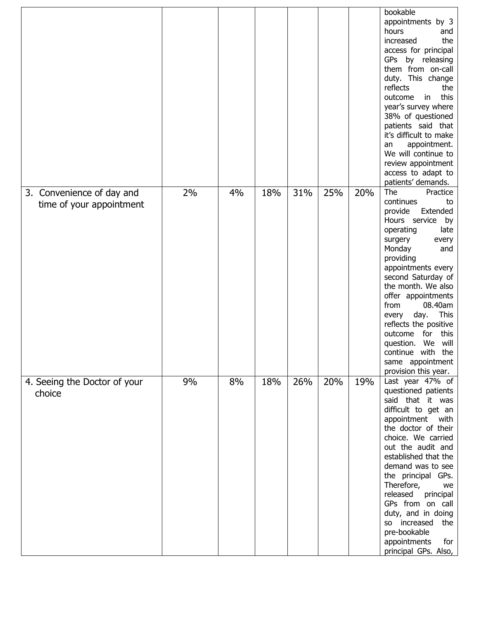|                                                       |    |    |     |     |     |     | bookable<br>appointments by 3<br>hours<br>and<br>the<br>increased<br>access for principal<br><b>GPs</b><br>by releasing<br>them from on-call<br>duty. This change<br>reflects<br>the<br>this<br>outcome<br>in<br>year's survey where<br>38% of questioned<br>patients said that<br>it's difficult to make<br>appointment.<br>an<br>We will continue to<br>review appointment<br>access to adapt to<br>patients' demands.                         |
|-------------------------------------------------------|----|----|-----|-----|-----|-----|--------------------------------------------------------------------------------------------------------------------------------------------------------------------------------------------------------------------------------------------------------------------------------------------------------------------------------------------------------------------------------------------------------------------------------------------------|
| 3. Convenience of day and<br>time of your appointment | 2% | 4% | 18% | 31% | 25% | 20% | The<br>Practice<br>continues<br>to<br>Extended<br>provide<br>Hours service<br>by<br>operating<br>late<br>surgery<br>every<br>Monday<br>and<br>providing<br>appointments every<br>second Saturday of<br>the month. We also<br>offer appointments<br>08.40am<br>from<br>This<br>day.<br>every<br>reflects the positive<br>this<br>outcome<br>for<br>question.<br>We<br>will<br>continue<br>with<br>the<br>same appointment<br>provision this year. |
| 4. Seeing the Doctor of your<br>choice                | 9% | 8% | 18% | 26% | 20% | 19% | Last year 47% of<br>questioned patients<br>said that it was<br>difficult to get an<br>appointment with<br>the doctor of their<br>choice. We carried<br>out the audit and<br>established that the<br>demand was to see<br>the principal GPs.<br>Therefore,<br>we<br>released<br>principal<br>GPs from on call<br>duty, and in doing<br>so increased<br>the<br>pre-bookable<br>appointments<br>for<br>principal GPs. Also,                         |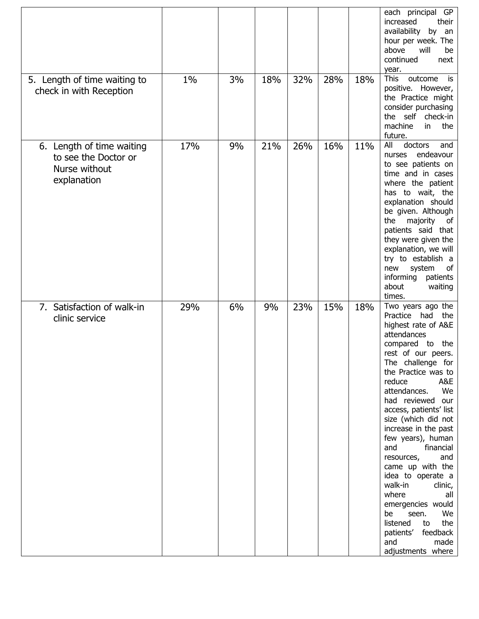|                                                                                   |       |    |     |     |     |     | each principal GP<br>increased<br>their<br>availability<br>by<br>an<br>hour per week. The<br>above<br>will<br>be<br>continued<br>next<br>year.                                                                                                                                                                                                                                                                                                                                                                                                                                    |
|-----------------------------------------------------------------------------------|-------|----|-----|-----|-----|-----|-----------------------------------------------------------------------------------------------------------------------------------------------------------------------------------------------------------------------------------------------------------------------------------------------------------------------------------------------------------------------------------------------------------------------------------------------------------------------------------------------------------------------------------------------------------------------------------|
| 5. Length of time waiting to<br>check in with Reception                           | $1\%$ | 3% | 18% | 32% | 28% | 18% | <b>This</b><br>outcome<br>is<br>positive. However,<br>the Practice might<br>consider purchasing<br>the self check-in<br>machine<br>in.<br>the<br>future.                                                                                                                                                                                                                                                                                                                                                                                                                          |
| 6. Length of time waiting<br>to see the Doctor or<br>Nurse without<br>explanation | 17%   | 9% | 21% | 26% | 16% | 11% | All<br>doctors<br>and<br>endeavour<br>nurses<br>to see patients on<br>time and in cases<br>where the patient<br>has to wait, the<br>explanation should<br>be given. Although<br>the<br>majority<br>of<br>patients said that<br>they were given the<br>explanation, we will<br>try to establish a<br>system<br>of<br>new<br>informing<br>patients<br>about<br>waiting<br>times.                                                                                                                                                                                                    |
| 7. Satisfaction of walk-in<br>clinic service                                      | 29%   | 6% | 9%  | 23% | 15% | 18% | Two years ago the<br>Practice had the<br>highest rate of A&E<br>attendances<br>compared to the<br>rest of our peers.<br>The challenge for<br>the Practice was to<br>reduce<br>A&E<br>attendances.<br>We<br>had reviewed our<br>access, patients' list<br>size (which did not<br>increase in the past<br>few years), human<br>and<br>financial<br>and<br>resources,<br>came up with the<br>idea to operate a<br>walk-in<br>clinic,<br>where<br>all<br>emergencies would<br>be<br>We<br>seen.<br>listened<br>the<br>to<br>feedback<br>patients'<br>and<br>made<br>adjustments where |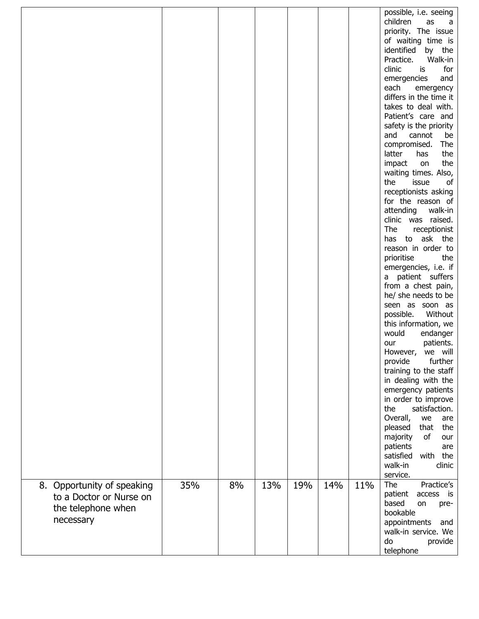|                                                            |     |    |     |     |     |     | possible, i.e. seeing<br>children<br>as<br>a<br>priority. The issue<br>of waiting time is<br>identified by the<br>Practice.<br>Walk-in<br>clinic<br>is<br>for<br>emergencies<br>and<br>each<br>emergency<br>differs in the time it<br>takes to deal with.<br>Patient's care and<br>safety is the priority<br>and<br>cannot<br>be<br>compromised.<br>The<br>latter<br>has<br>the<br>the<br>impact<br>on<br>waiting times. Also,<br>the<br>issue<br>of<br>receptionists asking<br>for the reason of<br>attending walk-in<br>clinic was raised.<br>The<br>receptionist<br>has to ask the<br>reason in order to<br>prioritise<br>the<br>emergencies, i.e. if<br>a patient suffers<br>from a chest pain,<br>he/ she needs to be<br>seen as soon as<br>possible.<br>Without<br>this information, we<br>would<br>endanger<br>patients.<br>our<br>However,<br>we will<br>further<br>provide<br>training to the staff<br>in dealing with the<br>emergency patients<br>in order to improve<br>the<br>satisfaction.<br>Overall,<br>we<br>are<br>the<br>pleased<br>that<br>of<br>majority<br>our<br>patients<br>are<br>with the<br>satisfied |
|------------------------------------------------------------|-----|----|-----|-----|-----|-----|----------------------------------------------------------------------------------------------------------------------------------------------------------------------------------------------------------------------------------------------------------------------------------------------------------------------------------------------------------------------------------------------------------------------------------------------------------------------------------------------------------------------------------------------------------------------------------------------------------------------------------------------------------------------------------------------------------------------------------------------------------------------------------------------------------------------------------------------------------------------------------------------------------------------------------------------------------------------------------------------------------------------------------------------------------------------------------------------------------------------------------|
|                                                            |     |    |     |     |     |     | walk-in<br>clinic                                                                                                                                                                                                                                                                                                                                                                                                                                                                                                                                                                                                                                                                                                                                                                                                                                                                                                                                                                                                                                                                                                                |
| 8. Opportunity of speaking                                 | 35% | 8% | 13% | 19% | 14% | 11% | service.<br>The<br>Practice's                                                                                                                                                                                                                                                                                                                                                                                                                                                                                                                                                                                                                                                                                                                                                                                                                                                                                                                                                                                                                                                                                                    |
| to a Doctor or Nurse on<br>the telephone when<br>necessary |     |    |     |     |     |     | patient<br>access<br>is<br>based<br>on<br>pre-<br>bookable<br>appointments<br>and<br>walk-in service. We<br>do<br>provide<br>telephone                                                                                                                                                                                                                                                                                                                                                                                                                                                                                                                                                                                                                                                                                                                                                                                                                                                                                                                                                                                           |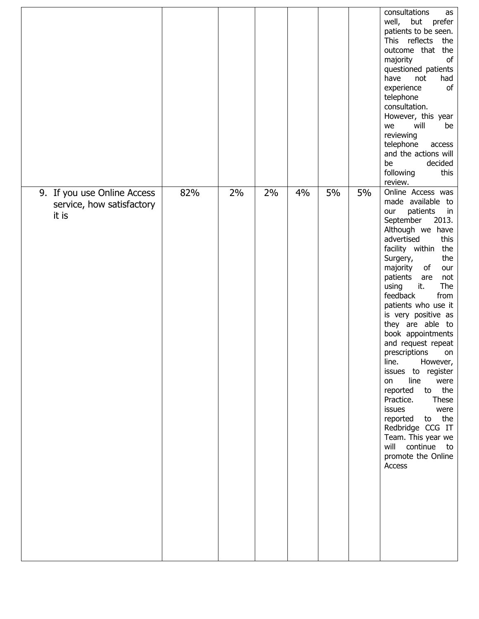|                                                                   |     |    |    |    |    |    | consultations<br>as<br>well,<br>but<br>prefer<br>patients to be seen.<br>This reflects<br>the<br>outcome that<br>the<br>majority<br>of<br>questioned patients<br>have<br>not<br>had<br>of<br>experience<br>telephone<br>consultation.<br>However, this year<br>will<br>we<br>be<br>reviewing<br>telephone<br>access<br>and the actions will<br>decided<br>be<br>following<br>this<br>review.                                                                                                                                                                                                                                                                            |
|-------------------------------------------------------------------|-----|----|----|----|----|----|-------------------------------------------------------------------------------------------------------------------------------------------------------------------------------------------------------------------------------------------------------------------------------------------------------------------------------------------------------------------------------------------------------------------------------------------------------------------------------------------------------------------------------------------------------------------------------------------------------------------------------------------------------------------------|
| 9. If you use Online Access<br>service, how satisfactory<br>it is | 82% | 2% | 2% | 4% | 5% | 5% | Online Access was<br>made available to<br>patients<br>our<br>in<br>September<br>2013.<br>Although we have<br>advertised<br>this<br>facility within<br>the<br>the<br>Surgery,<br>majority<br>of<br>our<br>patients<br>not<br>are<br>The<br>using<br>it.<br>feedback<br>from<br>patients who use it<br>is very positive as<br>they are able to<br>book appointments<br>and request repeat<br>prescriptions<br>on<br>line.<br>However,<br>issues to register<br>line<br>were<br>on<br>the<br>reported<br>to<br>Practice.<br>These<br>issues<br>were<br>to the<br>reported<br>Redbridge CCG IT<br>Team. This year we<br>will<br>continue to<br>promote the Online<br>Access |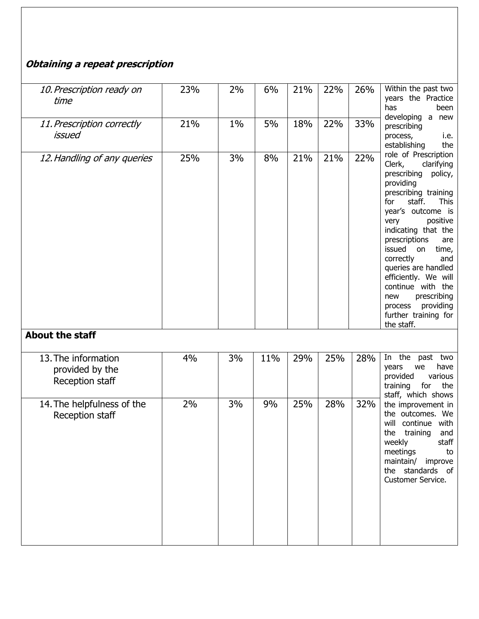## **Obtaining a repeat prescription**

| 10. Prescription ready on<br>time                         | 23% | 2%    | 6%  | 21% | 22% | 26% | Within the past two<br>years the Practice<br>has<br>been                                                                                                                                                                                                                                                                                                                                                                                 |
|-----------------------------------------------------------|-----|-------|-----|-----|-----|-----|------------------------------------------------------------------------------------------------------------------------------------------------------------------------------------------------------------------------------------------------------------------------------------------------------------------------------------------------------------------------------------------------------------------------------------------|
| 11. Prescription correctly<br>issued                      | 21% | $1\%$ | 5%  | 18% | 22% | 33% | developing<br>$\mathsf{a}$<br>new<br>prescribing<br>i.e.<br>process,<br>establishing<br>the                                                                                                                                                                                                                                                                                                                                              |
| 12. Handling of any queries                               | 25% | 3%    | 8%  | 21% | 21% | 22% | role of Prescription<br>Clerk,<br>clarifying<br>prescribing<br>policy,<br>providing<br>prescribing training<br>staff.<br>for<br><b>This</b><br>year's outcome is<br>positive<br>very<br>indicating that the<br>prescriptions<br>are<br>issued<br>on<br>time,<br>correctly<br>and<br>queries are handled<br>efficiently. We will<br>continue with the<br>prescribing<br>new<br>providing<br>process<br>further training for<br>the staff. |
| <b>About the staff</b>                                    |     |       |     |     |     |     |                                                                                                                                                                                                                                                                                                                                                                                                                                          |
| 13. The information<br>provided by the<br>Reception staff | 4%  | 3%    | 11% | 29% | 25% | 28% | In the past two<br>years<br>we<br>have<br>various<br>provided<br>training<br>for<br>the<br>staff, which shows                                                                                                                                                                                                                                                                                                                            |
| 14. The helpfulness of the<br>Reception staff             | 2%  | 3%    | 9%  | 25% | 28% | 32% | the improvement in<br>the outcomes. We<br>will continue with<br>the training<br>and<br>weekly<br>staff<br>meetings<br>to<br>maintain/ improve<br>the standards of<br><b>Customer Service.</b>                                                                                                                                                                                                                                            |